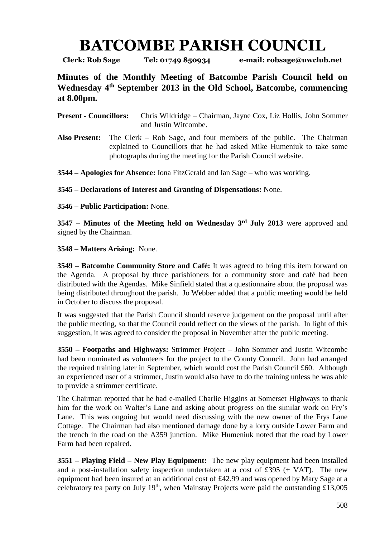## **BATCOMBE PARISH COUNCIL**

**Clerk: Rob Sage Tel: 01749 850934 e-mail: robsage@uwclub.net**

**Minutes of the Monthly Meeting of Batcombe Parish Council held on Wednesday 4 th September 2013 in the Old School, Batcombe, commencing at 8.00pm.**

**Present - Councillors:** Chris Wildridge – Chairman, Jayne Cox, Liz Hollis, John Sommer and Justin Witcombe.

**Also Present:** The Clerk – Rob Sage, and four members of the public. The Chairman explained to Councillors that he had asked Mike Humeniuk to take some photographs during the meeting for the Parish Council website.

**3544 – Apologies for Absence:** Iona FitzGerald and Ian Sage – who was working.

**3545 – Declarations of Interest and Granting of Dispensations:** None.

**3546 – Public Participation:** None.

**3547 – Minutes of the Meeting held on Wednesday 3 rd July 2013** were approved and signed by the Chairman.

**3548 – Matters Arising:** None.

**3549 – Batcombe Community Store and Café:** It was agreed to bring this item forward on the Agenda. A proposal by three parishioners for a community store and café had been distributed with the Agendas. Mike Sinfield stated that a questionnaire about the proposal was being distributed throughout the parish. Jo Webber added that a public meeting would be held in October to discuss the proposal.

It was suggested that the Parish Council should reserve judgement on the proposal until after the public meeting, so that the Council could reflect on the views of the parish. In light of this suggestion, it was agreed to consider the proposal in November after the public meeting.

**3550 – Footpaths and Highways:** Strimmer Project – John Sommer and Justin Witcombe had been nominated as volunteers for the project to the County Council. John had arranged the required training later in September, which would cost the Parish Council £60. Although an experienced user of a strimmer, Justin would also have to do the training unless he was able to provide a strimmer certificate.

The Chairman reported that he had e-mailed Charlie Higgins at Somerset Highways to thank him for the work on Walter's Lane and asking about progress on the similar work on Fry's Lane. This was ongoing but would need discussing with the new owner of the Frys Lane Cottage. The Chairman had also mentioned damage done by a lorry outside Lower Farm and the trench in the road on the A359 junction. Mike Humeniuk noted that the road by Lower Farm had been repaired.

**3551 – Playing Field – New Play Equipment:** The new play equipment had been installed and a post-installation safety inspection undertaken at a cost of £395 (+ VAT). The new equipment had been insured at an additional cost of £42.99 and was opened by Mary Sage at a celebratory tea party on July 19<sup>th</sup>, when Mainstay Projects were paid the outstanding £13,005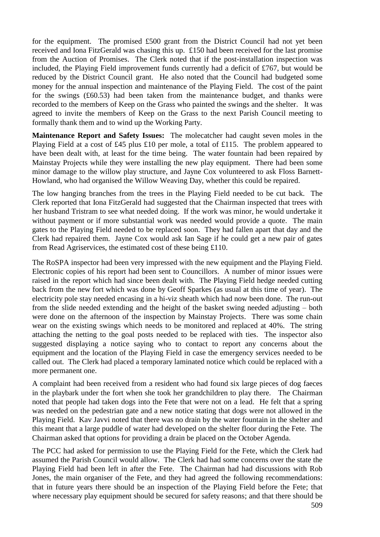for the equipment. The promised £500 grant from the District Council had not yet been received and Iona FitzGerald was chasing this up. £150 had been received for the last promise from the Auction of Promises. The Clerk noted that if the post-installation inspection was included, the Playing Field improvement funds currently had a deficit of £767, but would be reduced by the District Council grant. He also noted that the Council had budgeted some money for the annual inspection and maintenance of the Playing Field. The cost of the paint for the swings (£60.53) had been taken from the maintenance budget, and thanks were recorded to the members of Keep on the Grass who painted the swings and the shelter. It was agreed to invite the members of Keep on the Grass to the next Parish Council meeting to formally thank them and to wind up the Working Party.

**Maintenance Report and Safety Issues:** The molecatcher had caught seven moles in the Playing Field at a cost of £45 plus £10 per mole, a total of £115. The problem appeared to have been dealt with, at least for the time being. The water fountain had been repaired by Mainstay Projects while they were installing the new play equipment. There had been some minor damage to the willow play structure, and Jayne Cox volunteered to ask Floss Barnett-Howland, who had organised the Willow Weaving Day, whether this could be repaired.

The low hanging branches from the trees in the Playing Field needed to be cut back. The Clerk reported that Iona FitzGerald had suggested that the Chairman inspected that trees with her husband Tristram to see what needed doing. If the work was minor, he would undertake it without payment or if more substantial work was needed would provide a quote. The main gates to the Playing Field needed to be replaced soon. They had fallen apart that day and the Clerk had repaired them. Jayne Cox would ask Ian Sage if he could get a new pair of gates from Read Agriservices, the estimated cost of these being £110.

The RoSPA inspector had been very impressed with the new equipment and the Playing Field. Electronic copies of his report had been sent to Councillors. A number of minor issues were raised in the report which had since been dealt with. The Playing Field hedge needed cutting back from the new fort which was done by Geoff Sparkes (as usual at this time of year). The electricity pole stay needed encasing in a hi-viz sheath which had now been done. The run-out from the slide needed extending and the height of the basket swing needed adjusting – both were done on the afternoon of the inspection by Mainstay Projects. There was some chain wear on the existing swings which needs to be monitored and replaced at 40%. The string attaching the netting to the goal posts needed to be replaced with ties. The inspector also suggested displaying a notice saying who to contact to report any concerns about the equipment and the location of the Playing Field in case the emergency services needed to be called out. The Clerk had placed a temporary laminated notice which could be replaced with a more permanent one.

A complaint had been received from a resident who had found six large pieces of dog faeces in the playbark under the fort when she took her grandchildren to play there. The Chairman noted that people had taken dogs into the Fete that were not on a lead. He felt that a spring was needed on the pedestrian gate and a new notice stating that dogs were not allowed in the Playing Field. Kav Javvi noted that there was no drain by the water fountain in the shelter and this meant that a large puddle of water had developed on the shelter floor during the Fete. The Chairman asked that options for providing a drain be placed on the October Agenda.

The PCC had asked for permission to use the Playing Field for the Fete, which the Clerk had assumed the Parish Council would allow. The Clerk had had some concerns over the state the Playing Field had been left in after the Fete. The Chairman had had discussions with Rob Jones, the main organiser of the Fete, and they had agreed the following recommendations: that in future years there should be an inspection of the Playing Field before the Fete; that where necessary play equipment should be secured for safety reasons; and that there should be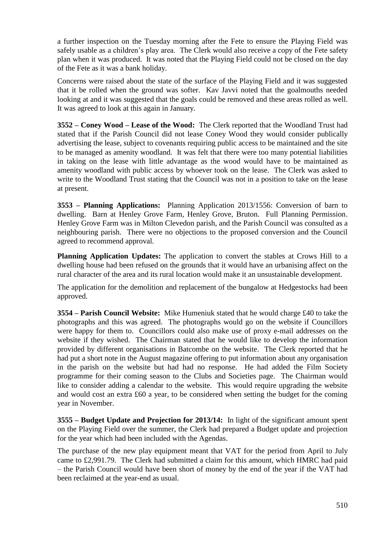a further inspection on the Tuesday morning after the Fete to ensure the Playing Field was safely usable as a children's play area. The Clerk would also receive a copy of the Fete safety plan when it was produced. It was noted that the Playing Field could not be closed on the day of the Fete as it was a bank holiday.

Concerns were raised about the state of the surface of the Playing Field and it was suggested that it be rolled when the ground was softer. Kav Javvi noted that the goalmouths needed looking at and it was suggested that the goals could be removed and these areas rolled as well. It was agreed to look at this again in January.

**3552 – Coney Wood – Lease of the Wood:** The Clerk reported that the Woodland Trust had stated that if the Parish Council did not lease Coney Wood they would consider publically advertising the lease, subject to covenants requiring public access to be maintained and the site to be managed as amenity woodland. It was felt that there were too many potential liabilities in taking on the lease with little advantage as the wood would have to be maintained as amenity woodland with public access by whoever took on the lease. The Clerk was asked to write to the Woodland Trust stating that the Council was not in a position to take on the lease at present.

**3553 – Planning Applications:** Planning Application 2013/1556: Conversion of barn to dwelling. Barn at Henley Grove Farm, Henley Grove, Bruton. Full Planning Permission. Henley Grove Farm was in Milton Clevedon parish, and the Parish Council was consulted as a neighbouring parish. There were no objections to the proposed conversion and the Council agreed to recommend approval.

**Planning Application Updates:** The application to convert the stables at Crows Hill to a dwelling house had been refused on the grounds that it would have an urbanising affect on the rural character of the area and its rural location would make it an unsustainable development.

The application for the demolition and replacement of the bungalow at Hedgestocks had been approved.

**3554 – Parish Council Website:** Mike Humeniuk stated that he would charge £40 to take the photographs and this was agreed. The photographs would go on the website if Councillors were happy for them to. Councillors could also make use of proxy e-mail addresses on the website if they wished. The Chairman stated that he would like to develop the information provided by different organisations in Batcombe on the website. The Clerk reported that he had put a short note in the August magazine offering to put information about any organisation in the parish on the website but had had no response. He had added the Film Society programme for their coming season to the Clubs and Societies page. The Chairman would like to consider adding a calendar to the website. This would require upgrading the website and would cost an extra £60 a year, to be considered when setting the budget for the coming year in November.

**3555 – Budget Update and Projection for 2013/14:** In light of the significant amount spent on the Playing Field over the summer, the Clerk had prepared a Budget update and projection for the year which had been included with the Agendas.

The purchase of the new play equipment meant that VAT for the period from April to July came to £2,991.79. The Clerk had submitted a claim for this amount, which HMRC had paid – the Parish Council would have been short of money by the end of the year if the VAT had been reclaimed at the year-end as usual.